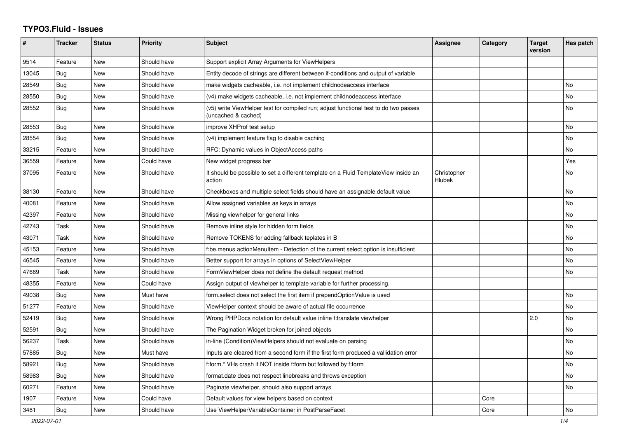## **TYPO3.Fluid - Issues**

| #     | <b>Tracker</b> | <b>Status</b> | <b>Priority</b> | <b>Subject</b>                                                                                              | <b>Assignee</b>       | Category | <b>Target</b><br>version | Has patch |
|-------|----------------|---------------|-----------------|-------------------------------------------------------------------------------------------------------------|-----------------------|----------|--------------------------|-----------|
| 9514  | Feature        | New           | Should have     | Support explicit Array Arguments for ViewHelpers                                                            |                       |          |                          |           |
| 13045 | Bug            | New           | Should have     | Entity decode of strings are different between if-conditions and output of variable                         |                       |          |                          |           |
| 28549 | <b>Bug</b>     | New           | Should have     | make widgets cacheable, i.e. not implement childnodeaccess interface                                        |                       |          |                          | No        |
| 28550 | Bug            | New           | Should have     | (v4) make widgets cacheable, i.e. not implement childnodeaccess interface                                   |                       |          |                          | No        |
| 28552 | Bug            | <b>New</b>    | Should have     | (v5) write ViewHelper test for compiled run; adjust functional test to do two passes<br>(uncached & cached) |                       |          |                          | No        |
| 28553 | Bug            | New           | Should have     | improve XHProf test setup                                                                                   |                       |          |                          | <b>No</b> |
| 28554 | Bug            | <b>New</b>    | Should have     | (v4) implement feature flag to disable caching                                                              |                       |          |                          | <b>No</b> |
| 33215 | Feature        | New           | Should have     | RFC: Dynamic values in ObjectAccess paths                                                                   |                       |          |                          | <b>No</b> |
| 36559 | Feature        | New           | Could have      | New widget progress bar                                                                                     |                       |          |                          | Yes       |
| 37095 | Feature        | New           | Should have     | It should be possible to set a different template on a Fluid TemplateView inside an<br>action               | Christopher<br>Hlubek |          |                          | No        |
| 38130 | Feature        | New           | Should have     | Checkboxes and multiple select fields should have an assignable default value                               |                       |          |                          | No        |
| 40081 | Feature        | New           | Should have     | Allow assigned variables as keys in arrays                                                                  |                       |          |                          | No        |
| 42397 | Feature        | New           | Should have     | Missing viewhelper for general links                                                                        |                       |          |                          | No        |
| 42743 | Task           | <b>New</b>    | Should have     | Remove inline style for hidden form fields                                                                  |                       |          |                          | No        |
| 43071 | Task           | New           | Should have     | Remove TOKENS for adding fallback teplates in B                                                             |                       |          |                          | No        |
| 45153 | Feature        | <b>New</b>    | Should have     | f:be.menus.actionMenuItem - Detection of the current select option is insufficient                          |                       |          |                          | No        |
| 46545 | Feature        | New           | Should have     | Better support for arrays in options of SelectViewHelper                                                    |                       |          |                          | <b>No</b> |
| 47669 | Task           | New           | Should have     | FormViewHelper does not define the default request method                                                   |                       |          |                          | <b>No</b> |
| 48355 | Feature        | New           | Could have      | Assign output of viewhelper to template variable for further processing.                                    |                       |          |                          |           |
| 49038 | Bug            | New           | Must have       | form.select does not select the first item if prependOptionValue is used                                    |                       |          |                          | No        |
| 51277 | Feature        | New           | Should have     | ViewHelper context should be aware of actual file occurrence                                                |                       |          |                          | No        |
| 52419 | <b>Bug</b>     | <b>New</b>    | Should have     | Wrong PHPDocs notation for default value inline f:translate viewhelper                                      |                       |          | 2.0                      | <b>No</b> |
| 52591 | Bug            | New           | Should have     | The Pagination Widget broken for joined objects                                                             |                       |          |                          | <b>No</b> |
| 56237 | Task           | New           | Should have     | in-line (Condition)ViewHelpers should not evaluate on parsing                                               |                       |          |                          | No.       |
| 57885 | Bug            | New           | Must have       | Inputs are cleared from a second form if the first form produced a vallidation error                        |                       |          |                          | No        |
| 58921 | Bug            | New           | Should have     | f:form.* VHs crash if NOT inside f:form but followed by f:form                                              |                       |          |                          | <b>No</b> |
| 58983 | Bug            | New           | Should have     | format.date does not respect linebreaks and throws exception                                                |                       |          |                          | <b>No</b> |
| 60271 | Feature        | New           | Should have     | Paginate viewhelper, should also support arrays                                                             |                       |          |                          | No        |
| 1907  | Feature        | New           | Could have      | Default values for view helpers based on context                                                            |                       | Core     |                          |           |
| 3481  | Bug            | <b>New</b>    | Should have     | Use ViewHelperVariableContainer in PostParseFacet                                                           |                       | Core     |                          | No        |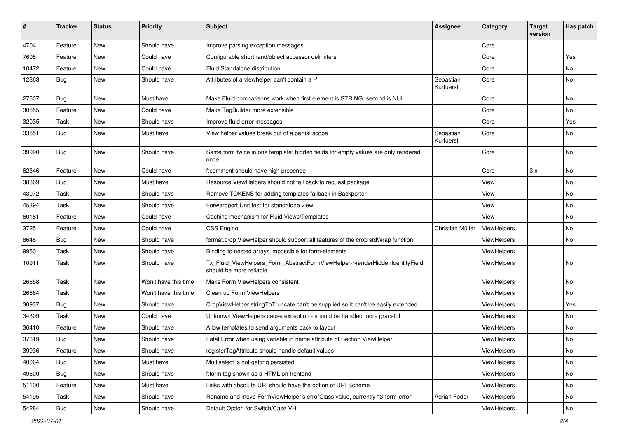| #     | <b>Tracker</b> | <b>Status</b> | <b>Priority</b>      | <b>Subject</b>                                                                                         | <b>Assignee</b>        | Category    | <b>Target</b><br>version | Has patch |
|-------|----------------|---------------|----------------------|--------------------------------------------------------------------------------------------------------|------------------------|-------------|--------------------------|-----------|
| 4704  | Feature        | New           | Should have          | Improve parsing exception messages                                                                     |                        | Core        |                          |           |
| 7608  | Feature        | New           | Could have           | Configurable shorthand/object accessor delimiters                                                      |                        | Core        |                          | Yes       |
| 10472 | Feature        | New           | Could have           | <b>Fluid Standalone distribution</b>                                                                   |                        | Core        |                          | No        |
| 12863 | Bug            | New           | Should have          | Attributes of a viewhelper can't contain a '-'                                                         | Sebastian<br>Kurfuerst | Core        |                          | No        |
| 27607 | Bug            | <b>New</b>    | Must have            | Make Fluid comparisons work when first element is STRING, second is NULL.                              |                        | Core        |                          | No        |
| 30555 | Feature        | New           | Could have           | Make TagBuilder more extensible                                                                        |                        | Core        |                          | No        |
| 32035 | Task           | New           | Should have          | Improve fluid error messages                                                                           |                        | Core        |                          | Yes       |
| 33551 | Bug            | New           | Must have            | View helper values break out of a partial scope                                                        | Sebastian<br>Kurfuerst | Core        |                          | No        |
| 39990 | Bug            | New           | Should have          | Same form twice in one template: hidden fields for empty values are only rendered<br>once              |                        | Core        |                          | No        |
| 62346 | Feature        | New           | Could have           | f:comment should have high precende                                                                    |                        | Core        | 3.x                      | No        |
| 38369 | Bug            | New           | Must have            | Resource ViewHelpers should not fall back to request package                                           |                        | View        |                          | No        |
| 43072 | Task           | New           | Should have          | Remove TOKENS for adding templates fallback in Backporter                                              |                        | View        |                          | No        |
| 45394 | Task           | New           | Should have          | Forwardport Unit test for standalone view                                                              |                        | View        |                          | No        |
| 60181 | Feature        | New           | Could have           | Caching mechanism for Fluid Views/Templates                                                            |                        | View        |                          | No        |
| 3725  | Feature        | New           | Could have           | <b>CSS Engine</b>                                                                                      | Christian Müller       | ViewHelpers |                          | No        |
| 8648  | Bug            | New           | Should have          | format.crop ViewHelper should support all features of the crop stdWrap function                        |                        | ViewHelpers |                          | No        |
| 9950  | Task           | New           | Should have          | Binding to nested arrays impossible for form-elements                                                  |                        | ViewHelpers |                          |           |
| 10911 | Task           | New           | Should have          | Tx Fluid ViewHelpers Form AbstractFormViewHelper->renderHiddenIdentityField<br>should be more reliable |                        | ViewHelpers |                          | No        |
| 26658 | Task           | New           | Won't have this time | Make Form ViewHelpers consistent                                                                       |                        | ViewHelpers |                          | No        |
| 26664 | Task           | New           | Won't have this time | Clean up Form ViewHelpers                                                                              |                        | ViewHelpers |                          | No        |
| 30937 | <b>Bug</b>     | New           | Should have          | CropViewHelper stringToTruncate can't be supplied so it can't be easily extended                       |                        | ViewHelpers |                          | Yes       |
| 34309 | Task           | New           | Could have           | Unknown ViewHelpers cause exception - should be handled more graceful                                  |                        | ViewHelpers |                          | No        |
| 36410 | Feature        | New           | Should have          | Allow templates to send arguments back to layout                                                       |                        | ViewHelpers |                          | No        |
| 37619 | <b>Bug</b>     | New           | Should have          | Fatal Error when using variable in name attribute of Section ViewHelper                                |                        | ViewHelpers |                          | No        |
| 39936 | Feature        | New           | Should have          | registerTagAttribute should handle default values                                                      |                        | ViewHelpers |                          | No        |
| 40064 | Bug            | New           | Must have            | Multiselect is not getting persisted                                                                   |                        | ViewHelpers |                          | No        |
| 49600 | <b>Bug</b>     | New           | Should have          | f:form tag shown as a HTML on frontend                                                                 |                        | ViewHelpers |                          | No        |
| 51100 | Feature        | New           | Must have            | Links with absolute URI should have the option of URI Scheme                                           |                        | ViewHelpers |                          | No        |
| 54195 | Task           | New           | Should have          | Rename and move FormViewHelper's errorClass value, currently 'f3-form-error'                           | Adrian Föder           | ViewHelpers |                          | No        |
| 54284 | Bug            | New           | Should have          | Default Option for Switch/Case VH                                                                      |                        | ViewHelpers |                          | No        |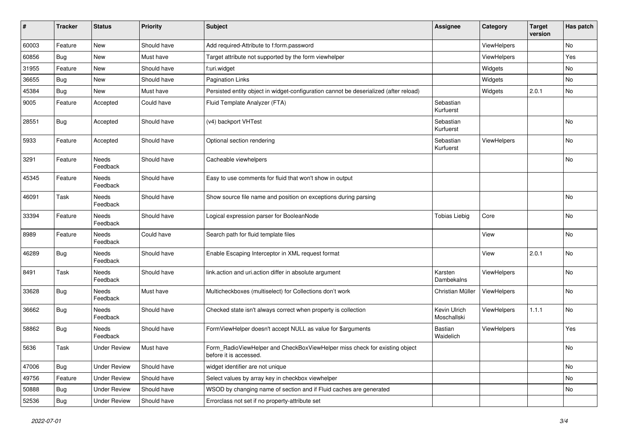| #     | <b>Tracker</b> | <b>Status</b>       | <b>Priority</b> | <b>Subject</b>                                                                                       | <b>Assignee</b>             | Category           | <b>Target</b><br>version | Has patch |
|-------|----------------|---------------------|-----------------|------------------------------------------------------------------------------------------------------|-----------------------------|--------------------|--------------------------|-----------|
| 60003 | Feature        | New                 | Should have     | Add required-Attribute to f:form.password                                                            |                             | ViewHelpers        |                          | No        |
| 60856 | Bug            | New                 | Must have       | Target attribute not supported by the form viewhelper                                                |                             | ViewHelpers        |                          | Yes       |
| 31955 | Feature        | New                 | Should have     | f:uri.widget                                                                                         |                             | Widgets            |                          | No        |
| 36655 | Bug            | New                 | Should have     | <b>Pagination Links</b>                                                                              |                             | Widgets            |                          | No        |
| 45384 | Bug            | New                 | Must have       | Persisted entity object in widget-configuration cannot be deserialized (after reload)                |                             | Widgets            | 2.0.1                    | No        |
| 9005  | Feature        | Accepted            | Could have      | Fluid Template Analyzer (FTA)                                                                        | Sebastian<br>Kurfuerst      |                    |                          |           |
| 28551 | Bug            | Accepted            | Should have     | (v4) backport VHTest                                                                                 | Sebastian<br>Kurfuerst      |                    |                          | No        |
| 5933  | Feature        | Accepted            | Should have     | Optional section rendering                                                                           | Sebastian<br>Kurfuerst      | ViewHelpers        |                          | No        |
| 3291  | Feature        | Needs<br>Feedback   | Should have     | Cacheable viewhelpers                                                                                |                             |                    |                          | No        |
| 45345 | Feature        | Needs<br>Feedback   | Should have     | Easy to use comments for fluid that won't show in output                                             |                             |                    |                          |           |
| 46091 | Task           | Needs<br>Feedback   | Should have     | Show source file name and position on exceptions during parsing                                      |                             |                    |                          | No        |
| 33394 | Feature        | Needs<br>Feedback   | Should have     | Logical expression parser for BooleanNode                                                            | <b>Tobias Liebig</b>        | Core               |                          | No        |
| 8989  | Feature        | Needs<br>Feedback   | Could have      | Search path for fluid template files                                                                 |                             | View               |                          | No        |
| 46289 | Bug            | Needs<br>Feedback   | Should have     | Enable Escaping Interceptor in XML request format                                                    |                             | View               | 2.0.1                    | No        |
| 8491  | Task           | Needs<br>Feedback   | Should have     | link.action and uri.action differ in absolute argument                                               | Karsten<br>Dambekalns       | ViewHelpers        |                          | <b>No</b> |
| 33628 | <b>Bug</b>     | Needs<br>Feedback   | Must have       | Multicheckboxes (multiselect) for Collections don't work                                             | Christian Müller            | ViewHelpers        |                          | No        |
| 36662 | Bug            | Needs<br>Feedback   | Should have     | Checked state isn't always correct when property is collection                                       | Kevin Ulrich<br>Moschallski | <b>ViewHelpers</b> | 1.1.1                    | No        |
| 58862 | Bug            | Needs<br>Feedback   | Should have     | FormViewHelper doesn't accept NULL as value for \$arguments                                          | <b>Bastian</b><br>Waidelich | ViewHelpers        |                          | Yes       |
| 5636  | Task           | Under Review        | Must have       | Form_RadioViewHelper and CheckBoxViewHelper miss check for existing object<br>before it is accessed. |                             |                    |                          | No        |
| 47006 | <b>Bug</b>     | <b>Under Review</b> | Should have     | widget identifier are not unique                                                                     |                             |                    |                          | No        |
| 49756 | Feature        | <b>Under Review</b> | Should have     | Select values by array key in checkbox viewhelper                                                    |                             |                    |                          | No        |
| 50888 | <b>Bug</b>     | <b>Under Review</b> | Should have     | WSOD by changing name of section and if Fluid caches are generated                                   |                             |                    |                          | No        |
| 52536 | <b>Bug</b>     | <b>Under Review</b> | Should have     | Errorclass not set if no property-attribute set                                                      |                             |                    |                          |           |